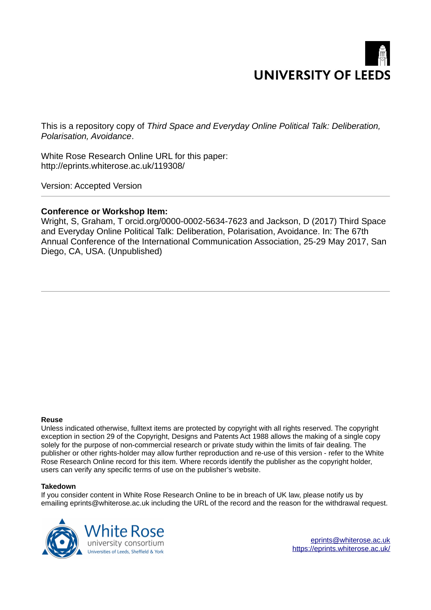

This is a repository copy of *Third Space and Everyday Online Political Talk: Deliberation, Polarisation, Avoidance*.

White Rose Research Online URL for this paper: http://eprints.whiterose.ac.uk/119308/

Version: Accepted Version

# **Conference or Workshop Item:**

Wright, S, Graham, T orcid.org/0000-0002-5634-7623 and Jackson, D (2017) Third Space and Everyday Online Political Talk: Deliberation, Polarisation, Avoidance. In: The 67th Annual Conference of the International Communication Association, 25-29 May 2017, San Diego, CA, USA. (Unpublished)

#### **Reuse**

Unless indicated otherwise, fulltext items are protected by copyright with all rights reserved. The copyright exception in section 29 of the Copyright, Designs and Patents Act 1988 allows the making of a single copy solely for the purpose of non-commercial research or private study within the limits of fair dealing. The publisher or other rights-holder may allow further reproduction and re-use of this version - refer to the White Rose Research Online record for this item. Where records identify the publisher as the copyright holder, users can verify any specific terms of use on the publisher's website.

#### **Takedown**

If you consider content in White Rose Research Online to be in breach of UK law, please notify us by emailing eprints@whiterose.ac.uk including the URL of the record and the reason for the withdrawal request.

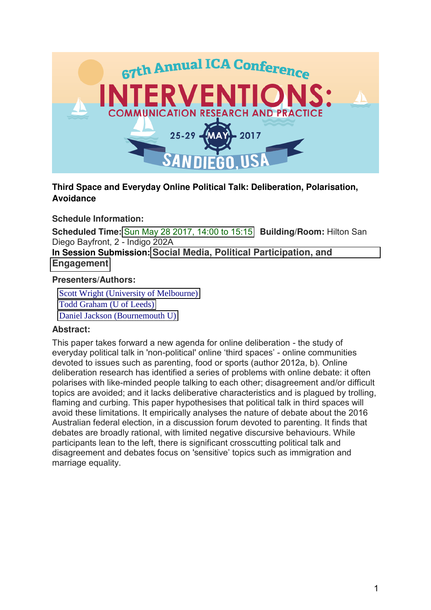

# **Third Space and Everyday Online Political Talk: Deliberation, Polarisation, Avoidance**

**Schedule Information:**

**Scheduled Time:** [Sun May 28 2017, 14:00 to 15:15](https://convention2.allacademic.com/one/ica/ica17/index.php?click_key=1&cmd=Multi+Search+View+Program+Load+Scheduled+Times&schedule_day=2017-05-28+15%3A15%3A00&highlight_box_id=239075&PHPSESSID=m4tbufrr8h3c6fnncrmfbh3dk1) **Building/Room:** Hilton San Diego Bayfront, 2 - Indigo 202A

**In Session Submission: [Social Media, Political Participation, and](https://convention2.allacademic.com/one/ica/ica17/index.php?click_key=1&cmd=Multi+Search+Search+Load+Session&session_id=1242723&PHPSESSID=m4tbufrr8h3c6fnncrmfbh3dk1)  [Engagement](https://convention2.allacademic.com/one/ica/ica17/index.php?click_key=1&cmd=Multi+Search+Search+Load+Session&session_id=1242723&PHPSESSID=m4tbufrr8h3c6fnncrmfbh3dk1)**

# **Presenters/Authors:**

 [Scott Wright \(University of Melbourne\)](https://convention2.allacademic.com/one/ica/ica17/index.php?click_key=1&cmd=Multi+Search+Load+Person&people_id=7596293&PHPSESSID=m4tbufrr8h3c6fnncrmfbh3dk1) [Todd Graham \(U of Leeds\)](https://convention2.allacademic.com/one/ica/ica17/index.php?click_key=1&cmd=Multi+Search+Load+Person&people_id=8055926&PHPSESSID=m4tbufrr8h3c6fnncrmfbh3dk1) [Daniel Jackson \(Bournemouth U\)](https://convention2.allacademic.com/one/ica/ica17/index.php?click_key=1&cmd=Multi+Search+Load+Person&people_id=8057326&PHPSESSID=m4tbufrr8h3c6fnncrmfbh3dk1)

# **Abstract:**

This paper takes forward a new agenda for online deliberation - the study of everyday political talk in 'non-political' online 'third spaces' - online communities devoted to issues such as parenting, food or sports (author 2012a, b). Online deliberation research has identified a series of problems with online debate: it often polarises with like-minded people talking to each other; disagreement and/or difficult topics are avoided; and it lacks deliberative characteristics and is plagued by trolling, flaming and curbing. This paper hypothesises that political talk in third spaces will avoid these limitations. It empirically analyses the nature of debate about the 2016 Australian federal election, in a discussion forum devoted to parenting. It finds that debates are broadly rational, with limited negative discursive behaviours. While participants lean to the left, there is significant crosscutting political talk and disagreement and debates focus on 'sensitive' topics such as immigration and marriage equality.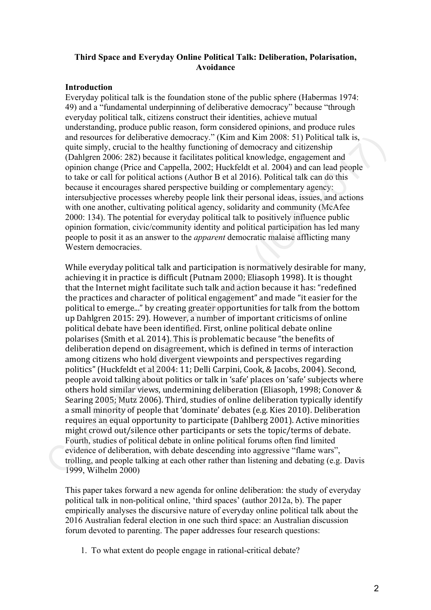# **Third Space and Everyday Online Political Talk: Deliberation, Polarisation, Avoidance**

# **Introduction**

Everyday political talk is the foundation stone of the public sphere (Habermas 1974: 49) and a "fundamental underpinning of deliberative democracy" because "through everyday political talk, citizens construct their identities, achieve mutual understanding, produce public reason, form considered opinions, and produce rules and resources for deliberative democracy." (Kim and Kim 2008: 51) Political talk is, quite simply, crucial to the healthy functioning of democracy and citizenship (Dahlgren 2006: 282) because it facilitates political knowledge, engagement and opinion change (Price and Cappella, 2002; Huckfeldt et al. 2004) and can lead people to take or call for political actions (Author B et al 2016). Political talk can do this because it encourages shared perspective building or complementary agency: intersubjective processes whereby people link their personal ideas, issues, and actions with one another, cultivating political agency, solidarity and community (McAfee) 2000: 134). The potential for everyday political talk to positively influence public opinion formation, civic/community identity and political participation has led many people to posit it as an answer to the *apparent* democratic malaise afflicting many Western democracies.

While everyday political talk and participation is normatively desirable for many, achieving it in practice is difficult (Putnam 2000; Eliasoph 1998). It is thought that the Internet might facilitate such talk and action because it has: "redefined the practices and character of political engagement" and made "it easier for the political to emerge..." by creating greater opportunities for talk from the bottom up Dahlgren 2015: 29). However, a number of important criticisms of online political debate have been identified. First, online political debate online polarises (Smith et al. 2014). This is problematic because "the benefits of deliberation depend on disagreement, which is defined in terms of interaction among citizens who hold divergent viewpoints and perspectives regarding politics" (Huckfeldt et al 2004: 11; Delli Carpini, Cook, & Jacobs, 2004). Second, people avoid talking about politics or talk in 'safe' places on 'safe' subjects where others hold similar views, undermining deliberation (Eliasoph, 1998; Conover & Searing 2005; Mutz 2006). Third, studies of online deliberation typically identify a small minority of people that 'dominate' debates (e.g. Kies 2010). Deliberation requires an equal opportunity to participate (Dahlberg 2001). Active minorities might crowd out/silence other participants or sets the topic/terms of debate. Fourth, studies of political debate in online political forums often find limited evidence of deliberation, with debate descending into aggressive "flame wars", trolling, and people talking at each other rather than listening and debating (e.g. Davis 1999, Wilhelm 2000) and resources for deliberative demotracy." (Kim and Kim 2008: 51) Political talk is, quite simply, crucial to the healthy functioning of democracy and citrizenship<br>(Dahlgren 2006: 282) because it facilitates political kno

This paper takes forward a new agenda for online deliberation: the study of everyday political talk in non-political online, 'third spaces' (author 2012a, b). The paper empirically analyses the discursive nature of everyday online political talk about the 2016 Australian federal election in one such third space: an Australian discussion forum devoted to parenting. The paper addresses four research questions:

1. To what extent do people engage in rational-critical debate?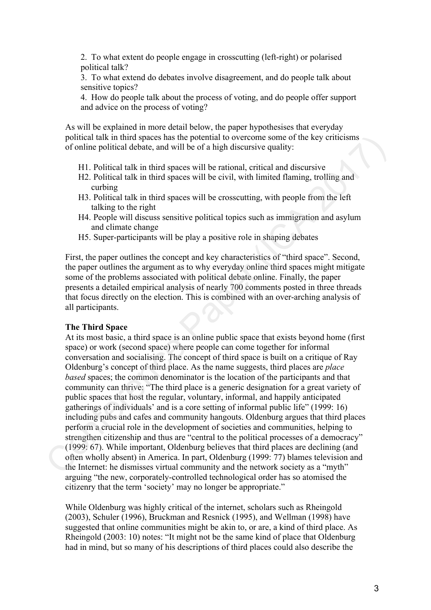2. To what extent do people engage in crosscutting (left-right) or polarised political talk?

3. To what extend do debates involve disagreement, and do people talk about sensitive topics?

4. How do people talk about the process of voting, and do people offer support and advice on the process of voting?

As will be explained in more detail below, the paper hypothesises that everyday political talk in third spaces has the potential to overcome some of the key criticisms of online political debate, and will be of a high discursive quality:

- H1. Political talk in third spaces will be rational, critical and discursive
- H2. Political talk in third spaces will be civil, with limited flaming, trolling and curbing
- H3. Political talk in third spaces will be crosscutting, with people from the left talking to the right
- H4. People will discuss sensitive political topics such as immigration and asylum and climate change
- H5. Super-participants will be play a positive role in shaping debates

First, the paper outlines the concept and key characteristics of "third space". Second, the paper outlines the argument as to why everyday online third spaces might mitigate some of the problems associated with political debate online. Finally, the paper presents a detailed empirical analysis of nearly 700 comments posted in three threads that focus directly on the election. This is combined with an over-arching analysis of all participants.

### **The Third Space**

At its most basic, a third space is an online public space that exists beyond home (first space) or work (second space) where people can come together for informal conversation and socialising. The concept of third space is built on a critique of Ray Oldenburg's concept of third place. As the name suggests, third places are *place based* spaces; the common denominator is the location of the participants and that community can thrive: "The third place is a generic designation for a great variety of public spaces that host the regular, voluntary, informal, and happily anticipated gatherings of individuals' and is a core setting of informal public life" (1999: 16) including pubs and cafes and community hangouts. Oldenburg argues that third places perform a crucial role in the development of societies and communities, helping to strengthen citizenship and thus are "central to the political processes of a democracy" (1999: 67). While important, Oldenburg believes that third places are declining (and often wholly absent) in America. In part, Oldenburg (1999: 77) blames television and the Internet: he dismisses virtual community and the network society as a "myth" arguing "the new, corporately-controlled technological order has so atomised the citizenry that the term 'society' may no longer be appropriate." political talk thin this spaces has the potential to occreto some of the key eriticisms<br>of of online political debate, and will be of a high discursive quality:<br>
H1. Political talk in third spaces will be rational, critic

While Oldenburg was highly critical of the internet, scholars such as Rheingold (2003), Schuler (1996), Bruckman and Resnick (1995), and Wellman (1998) have suggested that online communities might be akin to, or are, a kind of third place. As Rheingold (2003: 10) notes: "It might not be the same kind of place that Oldenburg had in mind, but so many of his descriptions of third places could also describe the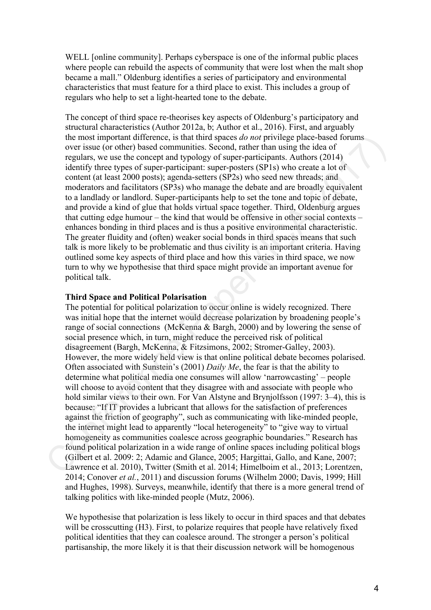WELL [online community]. Perhaps cyberspace is one of the informal public places where people can rebuild the aspects of community that were lost when the malt shop became a mall." Oldenburg identifies a series of participatory and environmental characteristics that must feature for a third place to exist. This includes a group of regulars who help to set a light-hearted tone to the debate.

The concept of third space re-theorises key aspects of Oldenburg's participatory and structural characteristics (Author 2012a, b; Author et al., 2016). First, and arguably the most important difference, is that third spaces *do not* privilege place-based forums over issue (or other) based communities. Second, rather than using the idea of regulars, we use the concept and typology of super-participants. Authors (2014) identify three types of super-participant: super-posters (SP1s) who create a lot of content (at least 2000 posts); agenda-setters (SP2s) who seed new threads; and moderators and facilitators (SP3s) who manage the debate and are broadly equivalent to a landlady or landlord. Super-participants help to set the tone and topic of debate, and provide a kind of glue that holds virtual space together. Third, Oldenburg argues that cutting edge humour – the kind that would be offensive in other social contexts – enhances bonding in third places and is thus a positive environmental characteristic. The greater fluidity and (often) weaker social bonds in third spaces means that such talk is more likely to be problematic and thus civility is an important criteria. Having outlined some key aspects of third place and how this varies in third space, we now turn to why we hypothesise that third space might provide an important avenue for political talk.

# **Third Space and Political Polarisation**

The potential for political polarization to occur online is widely recognized. There was initial hope that the internet would decrease polarization by broadening people's range of social connections (McKenna & Bargh, 2000) and by lowering the sense of social presence which, in turn, might reduce the perceived risk of political disagreement (Bargh, McKenna, & Fitzsimons, 2002; Stromer-Galley, 2003). However, the more widely held view is that online political debate becomes polarised. Often associated with Sunstein's (2001) *Daily Me*, the fear is that the ability to determine what political media one consumes will allow 'narrowcasting' – people will choose to avoid content that they disagree with and associate with people who hold similar views to their own. For Van Alstyne and Brynjolfsson (1997: 3–4), this is because: "If IT provides a lubricant that allows for the satisfaction of preferences against the friction of geography", such as communicating with like-minded people, the internet might lead to apparently "local heterogeneity" to "give way to virtual homogeneity as communities coalesce across geographic boundaries." Research has found political polarization in a wide range of online spaces including political blogs (Gilbert et al. 2009: 2; Adamic and Glance, 2005; Hargittai, Gallo, and Kane, 2007; Lawrence et al. 2010), Twitter (Smith et al. 2014; Himelboim et al., 2013; Lorentzen, 2014; Conover *et al.*, 2011) and discussion forums (Wilhelm 2000; Davis, 1999; Hill and Hughes, 1998). Surveys, meanwhile, identify that there is a more general trend of talking politics with like-minded people (Mutz, 2006). the most important difference, is that that spaces do not privilege place-based ion<br>were issue (or other) based communities. Second, rather than using the idea of<br>regulars, we use the concept and typology of super-partici

We hypothesise that polarization is less likely to occur in third spaces and that debates will be crosscutting (H3). First, to polarize requires that people have relatively fixed political identities that they can coalesce around. The stronger a person's political partisanship, the more likely it is that their discussion network will be homogenous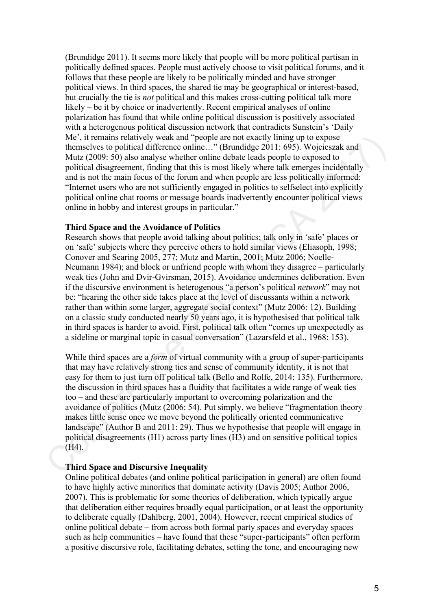(Brundidge 2011). It seems more likely that people will be more political partisan in politically defined spaces. People must actively choose to visit political forums, and it follows that these people are likely to be politically minded and have stronger political views. In third spaces, the shared tie may be geographical or interest-based, but crucially the tie is *not* political and this makes cross-cutting political talk more likely – be it by choice or inadvertently. Recent empirical analyses of online polarization has found that while online political discussion is positively associated with a heterogenous political discussion network that contradicts Sunstein's 'Daily Me', it remains relatively weak and "people are not exactly lining up to expose themselves to political difference online…" (Brundidge 2011: 695). Wojcieszak and Mutz (2009: 50) also analyse whether online debate leads people to exposed to political disagreement, finding that this is most likely where talk emerges incidentally and is not the main focus of the forum and when people are less politically informed: "Internet users who are not sufficiently engaged in politics to selfselect into explicitly political online chat rooms or message boards inadvertently encounter political views online in hobby and interest groups in particular."

# **Third Space and the Avoidance of Politics**

Research shows that people avoid talking about politics; talk only in 'safe' places or on 'safe' subjects where they perceive others to hold similar views (Eliasoph, 1998; Conover and Searing 2005, 277; Mutz and Martin, 2001; Mutz 2006; Noelle-Neumann 1984); and block or unfriend people with whom they disagree – particularly weak ties (John and Dvir-Gvirsman, 2015). Avoidance undermines deliberation. Even if the discursive environment is heterogenous "a person's political *network*" may not be: "hearing the other side takes place at the level of discussants within a network rather than within some larger, aggregate social context" (Mutz 2006: 12). Building on a classic study conducted nearly 50 years ago, it is hypothesised that political talk in third spaces is harder to avoid. First, political talk often "comes up unexpectedly as a sideline or marginal topic in casual conversation" (Lazarsfeld et al., 1968: 153). Me, it cremation calical method with the prople are not exactly liming up to expose<br>
(Her), it can be the distance of the aperture conference paper (CF). (Figured 2011: (995), Wojcieszak and<br>
Mut (2009: S0) also analyse w

While third spaces are a *form* of virtual community with a group of super-participants that may have relatively strong ties and sense of community identity, it is not that easy for them to just turn off political talk (Bello and Rolfe, 2014: 135). Furthermore, the discussion in third spaces has a fluidity that facilitates a wide range of weak ties too – and these are particularly important to overcoming polarization and the avoidance of politics (Mutz (2006: 54). Put simply, we believe "fragmentation theory makes little sense once we move beyond the politically oriented communicative landscape" (Author B and 2011: 29). Thus we hypothesise that people will engage in political disagreements (H1) across party lines (H3) and on sensitive political topics (H4).

# **Third Space and Discursive Inequality**

Online political debates (and online political participation in general) are often found to have highly active minorities that dominate activity (Davis 2005; Author 2006, 2007). This is problematic for some theories of deliberation, which typically argue that deliberation either requires broadly equal participation, or at least the opportunity to deliberate equally (Dahlberg, 2001, 2004). However, recent empirical studies of online political debate – from across both formal party spaces and everyday spaces such as help communities – have found that these "super-participants" often perform a positive discursive role, facilitating debates, setting the tone, and encouraging new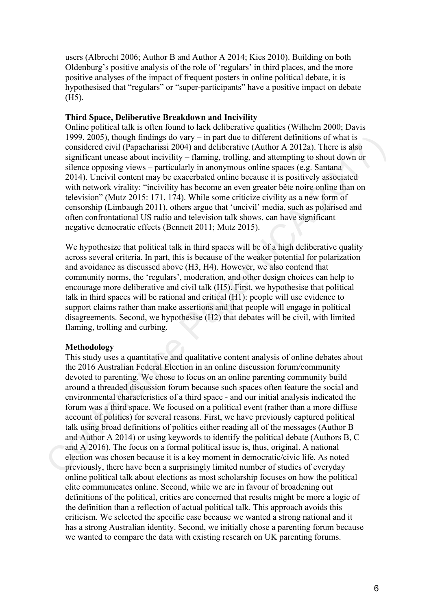users (Albrecht 2006; Author B and Author A 2014; Kies 2010). Building on both Oldenburg's positive analysis of the role of 'regulars' in third places, and the more positive analyses of the impact of frequent posters in online political debate, it is hypothesised that "regulars" or "super-participants" have a positive impact on debate (H5).

### **Third Space, Deliberative Breakdown and Incivility**

Online political talk is often found to lack deliberative qualities (Wilhelm 2000; Davis 1999, 2005), though findings do vary – in part due to different definitions of what is considered civil (Papacharissi 2004) and deliberative (Author A 2012a). There is also significant unease about incivility – flaming, trolling, and attempting to shout down or silence opposing views – particularly in anonymous online spaces (e.g. Santana 2014). Uncivil content may be exacerbated online because it is positively associated with network virality: "incivility has become an even greater bête noire online than on television" (Mutz 2015: 171, 174). While some criticize civility as a new form of censorship (Limbaugh 2011), others argue that 'uncivil' media, such as polarised and often confrontational US radio and television talk shows, can have significant negative democratic effects (Bennett 2011; Mutz 2015).

We hypothesize that political talk in third spaces will be of a high deliberative quality across several criteria. In part, this is because of the weaker potential for polarization and avoidance as discussed above (H3, H4). However, we also contend that community norms, the 'regulars', moderation, and other design choices can help to encourage more deliberative and civil talk (H5). First, we hypothesise that political talk in third spaces will be rational and critical (H1): people will use evidence to support claims rather than make assertions and that people will engage in political disagreements. Second, we hypothesise (H2) that debates will be civil, with limited flaming, trolling and curbing.

# **Methodology**

This study uses a quantitative and qualitative content analysis of online debates about the 2016 Australian Federal Election in an online discussion forum/community devoted to parenting. We chose to focus on an online parenting community build around a threaded discussion forum because such spaces often feature the social and environmental characteristics of a third space - and our initial analysis indicated the forum was a third space. We focused on a political event (rather than a more diffuse account of politics) for several reasons. First, we have previously captured political talk using broad definitions of politics either reading all of the messages (Author B and Author A 2014) or using keywords to identify the political debate (Authors B, C and A 2016). The focus on a formal political issue is, thus, original. A national election was chosen because it is a key moment in democratic/civic life. As noted previously, there have been a surprisingly limited number of studies of everyday online political talk about elections as most scholarship focuses on how the political elite communicates online. Second, while we are in favour of broadening out definitions of the political, critics are concerned that results might be more a logic of the definition than a reflection of actual political talk. This approach avoids this criticism. We selected the specific case because we wanted a strong national and it has a strong Australian identity. Second, we initially chose a parenting forum because we wanted to compare the data with existing research on UK parenting forums. 1999, 2005), loough findings do vary – in part due to different definitions of what is<br>desired erivel (Papecharissi 2004) and deliberative (Author A 2012a). There is also<br>significant uneses about incivitity – flaming, tot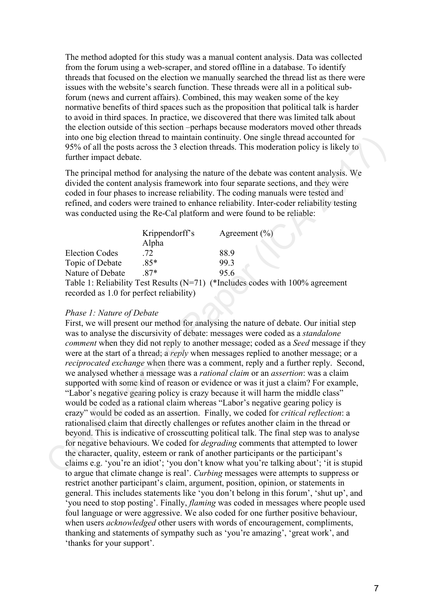The method adopted for this study was a manual content analysis. Data was collected from the forum using a web-scraper, and stored offline in a database. To identify threads that focused on the election we manually searched the thread list as there were issues with the website's search function. These threads were all in a political subforum (news and current affairs). Combined, this may weaken some of the key normative benefits of third spaces such as the proposition that political talk is harder to avoid in third spaces. In practice, we discovered that there was limited talk about the election outside of this section –perhaps because moderators moved other threads into one big election thread to maintain continuity. One single thread accounted for 95% of all the posts across the 3 election threads. This moderation policy is likely to further impact debate.

The principal method for analysing the nature of the debate was content analysis. We divided the content analysis framework into four separate sections, and they were coded in four phases to increase reliability. The coding manuals were tested and refined, and coders were trained to enhance reliability. Inter-coder reliability testing was conducted using the Re-Cal platform and were found to be reliable:

|                                          | Krippendorff's | Agreement $(\% )$                                                                 |
|------------------------------------------|----------------|-----------------------------------------------------------------------------------|
|                                          | Alpha          |                                                                                   |
| <b>Election Codes</b>                    | .72            | 88.9                                                                              |
| Topic of Debate                          | $.85*$         | 99.3                                                                              |
| Nature of Debate                         | $87*$          | 95.6                                                                              |
|                                          |                | Table 1: Reliability Test Results ( $N=71$ ) (*Includes codes with 100% agreement |
| recorded as 1.0 for perfect reliability) |                |                                                                                   |

# *Phase 1: Nature of Debate*

First, we will present our method for analysing the nature of debate. Our initial step was to analyse the discursivity of debate: messages were coded as a *standalone comment* when they did not reply to another message; coded as a *Seed* message if they were at the start of a thread; a *reply* when messages replied to another message; or a *reciprocated exchange* when there was a comment, reply and a further reply. Second, we analysed whether a message was a *rational claim* or an *assertion*: was a claim supported with some kind of reason or evidence or was it just a claim? For example, "Labor's negative gearing policy is crazy because it will harm the middle class" would be coded as a rational claim whereas "Labor's negative gearing policy is crazy" would be coded as an assertion. Finally, we coded for *critical reflection*: a rationalised claim that directly challenges or refutes another claim in the thread or beyond. This is indicative of crosscutting political talk. The final step was to analyse for negative behaviours. We coded for *degrading* comments that attempted to lower the character, quality, esteem or rank of another participants or the participant's claims e.g. 'you're an idiot'; 'you don't know what you're talking about'; 'it is stupid to argue that climate change is real'. *Curbing* messages were attempts to suppress or restrict another participant's claim, argument, position, opinion, or statements in general. This includes statements like 'you don't belong in this forum', 'shut up', and 'you need to stop posting'. Finally, *flaming* was coded in messages where people used foul language or were aggressive. We also coded for one further positive behaviour, when users *acknowledged* other users with words of encouragement, compliments, thanking and statements of sympathy such as 'you're amazing', 'great work', and 'thanks for your support'. into one big clection thread to maintain continuity. One single thread accounted for \$5% of all the posts across the 3 deteion threads. This magnetic mole is self-<br>the principal method for analysing the nature of the deba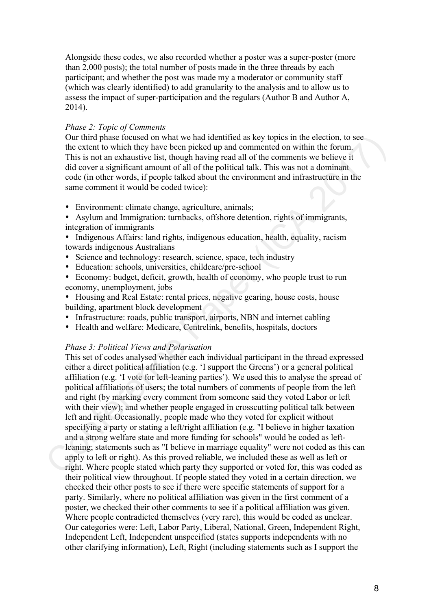Alongside these codes, we also recorded whether a poster was a super-poster (more than 2,000 posts); the total number of posts made in the three threads by each participant; and whether the post was made my a moderator or community staff (which was clearly identified) to add granularity to the analysis and to allow us to assess the impact of super-participation and the regulars (Author B and Author A, 2014).

# *Phase 2: Topic of Comments*

Our third phase focused on what we had identified as key topics in the election, to see the extent to which they have been picked up and commented on within the forum. This is not an exhaustive list, though having read all of the comments we believe it did cover a significant amount of all of the political talk. This was not a dominant code (in other words, if people talked about the environment and infrastructure in the same comment it would be coded twice):

- Environment: climate change, agriculture, animals;
- Asylum and Immigration: turnbacks, offshore detention, rights of immigrants, integration of immigrants
- Indigenous Affairs: land rights, indigenous education, health, equality, racism towards indigenous Australians
- Science and technology: research, science, space, tech industry
- Education: schools, universities, childcare/pre-school
- Economy: budget, deficit, growth, health of economy, who people trust to run economy, unemployment, jobs
- Housing and Real Estate: rental prices, negative gearing, house costs, house building, apartment block development
- Infrastructure: roads, public transport, airports, NBN and internet cabling
- Health and welfare: Medicare, Centrelink, benefits, hospitals, doctors

# *Phase 3: Political Views and Polarisation*

This set of codes analysed whether each individual participant in the thread expressed either a direct political affiliation (e.g. 'I support the Greens') or a general political affiliation (e.g. 'I vote for left-leaning parties'). We used this to analyse the spread of political affiliations of users; the total numbers of comments of people from the left and right (by marking every comment from someone said they voted Labor or left with their view); and whether people engaged in crosscutting political talk between left and right. Occasionally, people made who they voted for explicit without specifying a party or stating a left/right affiliation (e.g. "I believe in higher taxation and a strong welfare state and more funding for schools" would be coded as leftleaning; statements such as "I believe in marriage equality" were not coded as this can apply to left or right). As this proved reliable, we included these as well as left or right. Where people stated which party they supported or voted for, this was coded as their political view throughout. If people stated they voted in a certain direction, we checked their other posts to see if there were specific statements of support for a party. Similarly, where no political affiliation was given in the first comment of a poster, we checked their other comments to see if a political affiliation was given. Where people contradicted themselves (very rare), this would be coded as unclear. Our categories were: Left, Labor Party, Liberal, National, Green, Independent Right, Independent Left, Independent unspecified (states supports independents with no other clarifying information), Left, Right (including statements such as I support the Our third phase focused on what we had identified as key topies in the clettion, to<br>even the extent to which they have been picked up and commented on within the forum.<br>This is not an exhaustive list, though having read a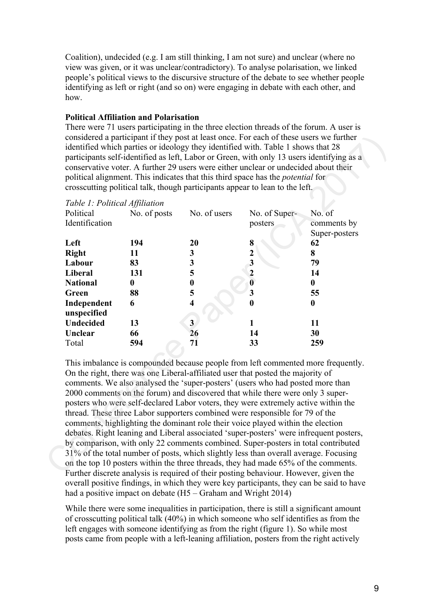Coalition), undecided (e.g. I am still thinking, I am not sure) and unclear (where no view was given, or it was unclear/contradictory). To analyse polarisation, we linked people's political views to the discursive structure of the debate to see whether people identifying as left or right (and so on) were engaging in debate with each other, and how.

# **Political Affiliation and Polarisation**

There were 71 users participating in the three election threads of the forum. A user is considered a participant if they post at least once. For each of these users we further identified which parties or ideology they identified with. Table 1 shows that 28 participants self-identified as left, Labor or Green, with only 13 users identifying as a conservative voter. A further 29 users were either unclear or undecided about their political alignment. This indicates that this third space has the *potential* for crosscutting political talk, though participants appear to lean to the left.

| Table 1: Political Affiliation<br>Political | No. of posts | No. of users            | No. of Super-                                                                                                                                                                                                                                       | No. of                                                                           |
|---------------------------------------------|--------------|-------------------------|-----------------------------------------------------------------------------------------------------------------------------------------------------------------------------------------------------------------------------------------------------|----------------------------------------------------------------------------------|
| Identification                              |              |                         | posters                                                                                                                                                                                                                                             | comments by                                                                      |
|                                             |              |                         |                                                                                                                                                                                                                                                     | Super-posters                                                                    |
| Left                                        | 194          | 20                      | 8                                                                                                                                                                                                                                                   | 62                                                                               |
| <b>Right</b>                                | 11           | 3                       | $\mathbf 2$                                                                                                                                                                                                                                         | 8                                                                                |
| Labour                                      | 83           | 3                       | 3                                                                                                                                                                                                                                                   | 79                                                                               |
| Liberal                                     | 131          | 5                       | $\overline{2}$                                                                                                                                                                                                                                      | 14                                                                               |
| <b>National</b>                             | $\bf{0}$     | $\boldsymbol{0}$        | $\overline{\mathbf{0}}$                                                                                                                                                                                                                             | $\bf{0}$                                                                         |
| Green                                       | 88           | 5                       | $\overline{\mathbf{3}}$                                                                                                                                                                                                                             | 55                                                                               |
| Independent<br>unspecified                  | 6            | $\overline{\mathbf{4}}$ | 0                                                                                                                                                                                                                                                   | $\bf{0}$                                                                         |
| <b>Undecided</b>                            | 13           | $\overline{\mathbf{3}}$ |                                                                                                                                                                                                                                                     | 11                                                                               |
| Unclear                                     | 66           | 26                      | 14                                                                                                                                                                                                                                                  | 30                                                                               |
| Total                                       | 594          | 71                      | 33                                                                                                                                                                                                                                                  | 259                                                                              |
|                                             |              |                         |                                                                                                                                                                                                                                                     | This imbalance is compounded because people from left commented more frequently. |
|                                             |              |                         | On the right, there was one Liberal-affiliated user that posted the majority of<br>comments. We also analysed the 'super-posters' (users who had posted more than<br>2000 comments on the forum) and discovered that while there were only 3 super- |                                                                                  |
|                                             |              |                         | posters who were self-declared Labor voters, they were extremely active within the                                                                                                                                                                  |                                                                                  |
|                                             |              |                         |                                                                                                                                                                                                                                                     |                                                                                  |

This imbalance is compounded because people from left commented more frequently. On the right, there was one Liberal-affiliated user that posted the majority of comments. We also analysed the 'super-posters' (users who had posted more than 2000 comments on the forum) and discovered that while there were only 3 superposters who were self-declared Labor voters, they were extremely active within the thread. These three Labor supporters combined were responsible for 79 of the comments, highlighting the dominant role their voice played within the election debates. Right leaning and Liberal associated 'super-posters' were infrequent posters, by comparison, with only 22 comments combined. Super-posters in total contributed 31% of the total number of posts, which slightly less than overall average. Focusing on the top 10 posters within the three threads, they had made 65% of the comments. Further discrete analysis is required of their posting behaviour. However, given the overall positive findings, in which they were key participants, they can be said to have had a positive impact on debate (H5 – Graham and Wright 2014)

While there were some inequalities in participation, there is still a significant amount of crosscutting political talk (40%) in which someone who self identifies as from the left engages with someone identifying as from the right (figure 1). So while most posts came from people with a left-leaning affiliation, posters from the right actively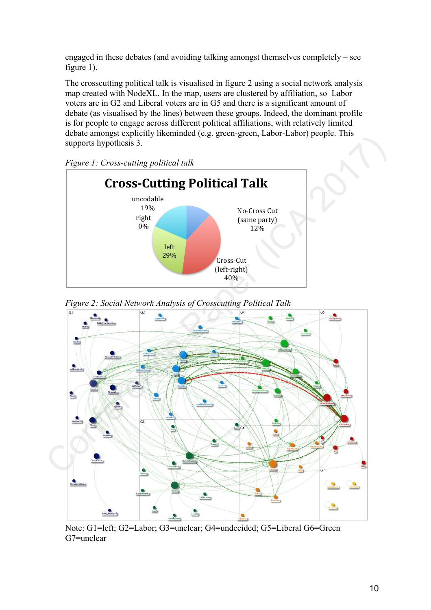engaged in these debates (and avoiding talking amongst themselves completely – see figure 1).

The crosscutting political talk is visualised in figure 2 using a social network analysis map created with NodeXL. In the map, users are clustered by affiliation, so Labor voters are in G2 and Liberal voters are in G5 and there is a significant amount of debate (as visualised by the lines) between these groups. Indeed, the dominant profile is for people to engage across different political affiliations, with relatively limited debate amongst explicitly likeminded (e.g. green-green, Labor-Labor) people. This supports hypothesis 3.



*Figure 1: Cross-cutting political talk*



*Figure 2: Social Network Analysis of Crosscutting Political Talk* 

Note: G1=left; G2=Labor; G3=unclear; G4=undecided; G5=Liberal G6=Green G7=unclear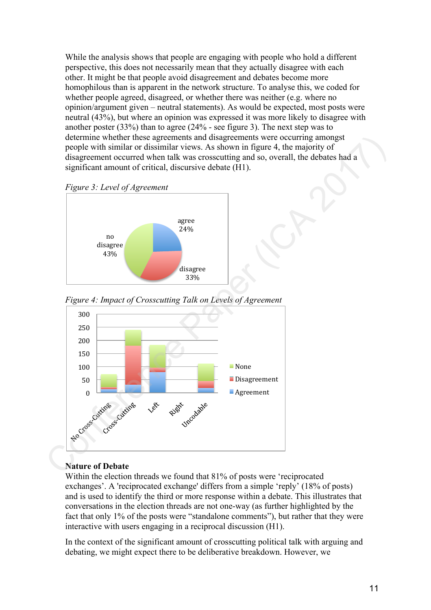While the analysis shows that people are engaging with people who hold a different perspective, this does not necessarily mean that they actually disagree with each other. It might be that people avoid disagreement and debates become more homophilous than is apparent in the network structure. To analyse this, we coded for whether people agreed, disagreed, or whether there was neither (e.g. where no opinion/argument given – neutral statements). As would be expected, most posts were neutral (43%), but where an opinion was expressed it was more likely to disagree with another poster (33%) than to agree (24% - see figure 3). The next step was to determine whether these agreements and disagreements were occurring amongst people with similar or dissimilar views. As shown in figure 4, the majority of disagreement occurred when talk was crosscutting and so, overall, the debates had a significant amount of critical, discursive debate (H1).





*Figure 4: Impact of Crosscutting Talk on Levels of Agreement* 



# **Nature of Debate**

Within the election threads we found that 81% of posts were 'reciprocated exchanges'. A 'reciprocated exchange' differs from a simple 'reply' (18% of posts) and is used to identify the third or more response within a debate. This illustrates that conversations in the election threads are not one-way (as further highlighted by the fact that only 1% of the posts were "standalone comments"), but rather that they were interactive with users engaging in a reciprocal discussion (H1).

In the context of the significant amount of crosscutting political talk with arguing and debating, we might expect there to be deliberative breakdown. However, we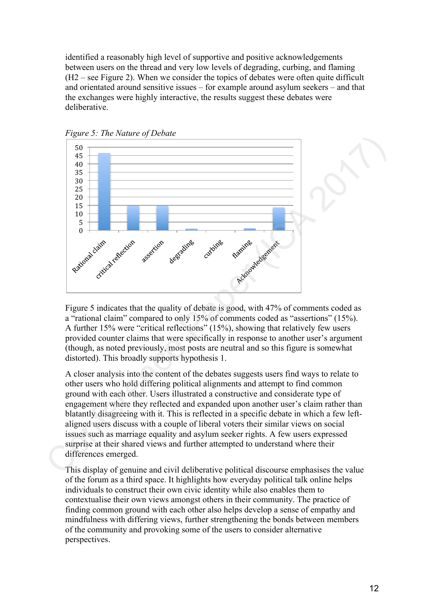identified a reasonably high level of supportive and positive acknowledgements between users on the thread and very low levels of degrading, curbing, and flaming (H2 – see Figure 2). When we consider the topics of debates were often quite difficult and orientated around sensitive issues – for example around asylum seekers – and that the exchanges were highly interactive, the results suggest these debates were deliberative.



*Figure 5: The Nature of Debate* 

Figure 5 indicates that the quality of debate is good, with 47% of comments coded as a "rational claim" compared to only 15% of comments coded as "assertions" (15%). A further 15% were "critical reflections" (15%), showing that relatively few users provided counter claims that were specifically in response to another user's argument (though, as noted previously, most posts are neutral and so this figure is somewhat distorted). This broadly supports hypothesis 1.

A closer analysis into the content of the debates suggests users find ways to relate to other users who hold differing political alignments and attempt to find common ground with each other. Users illustrated a constructive and considerate type of engagement where they reflected and expanded upon another user's claim rather than blatantly disagreeing with it. This is reflected in a specific debate in which a few leftaligned users discuss with a couple of liberal voters their similar views on social issues such as marriage equality and asylum seeker rights. A few users expressed surprise at their shared views and further attempted to understand where their differences emerged.

This display of genuine and civil deliberative political discourse emphasises the value of the forum as a third space. It highlights how everyday political talk online helps individuals to construct their own civic identity while also enables them to contextualise their own views amongst others in their community. The practice of finding common ground with each other also helps develop a sense of empathy and mindfulness with differing views, further strengthening the bonds between members of the community and provoking some of the users to consider alternative perspectives.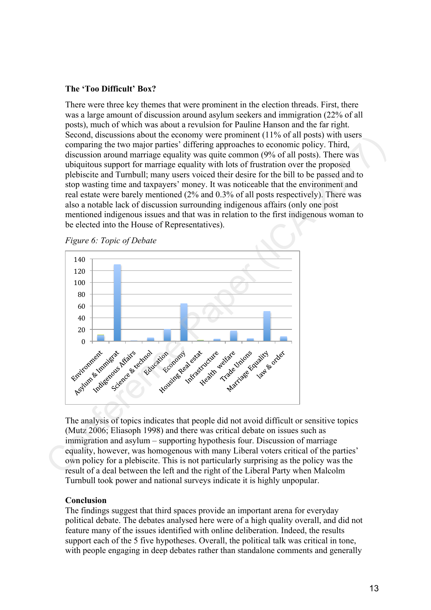# **The 'Too Difficult' Box?**

There were three key themes that were prominent in the election threads. First, there was a large amount of discussion around asylum seekers and immigration (22% of all posts), much of which was about a revulsion for Pauline Hanson and the far right. Second, discussions about the economy were prominent (11% of all posts) with users comparing the two major parties' differing approaches to economic policy. Third, discussion around marriage equality was quite common (9% of all posts). There was ubiquitous support for marriage equality with lots of frustration over the proposed plebiscite and Turnbull; many users voiced their desire for the bill to be passed and to stop wasting time and taxpayers' money. It was noticeable that the environment and real estate were barely mentioned (2% and 0.3% of all posts respectively). There was also a notable lack of discussion surrounding indigenous affairs (only one post mentioned indigenous issues and that was in relation to the first indigenous woman to be elected into the House of Representatives).





The analysis of topics indicates that people did not avoid difficult or sensitive topics (Mutz 2006; Eliasoph 1998) and there was critical debate on issues such as immigration and asylum – supporting hypothesis four. Discussion of marriage equality, however, was homogenous with many Liberal voters critical of the parties' own policy for a plebiscite. This is not particularly surprising as the policy was the result of a deal between the left and the right of the Liberal Party when Malcolm Turnbull took power and national surveys indicate it is highly unpopular.

# **Conclusion**

The findings suggest that third spaces provide an important arena for everyday political debate. The debates analysed here were of a high quality overall, and did not feature many of the issues identified with online deliberation. Indeed, the results support each of the 5 five hypotheses. Overall, the political talk was critical in tone, with people engaging in deep debates rather than standalone comments and generally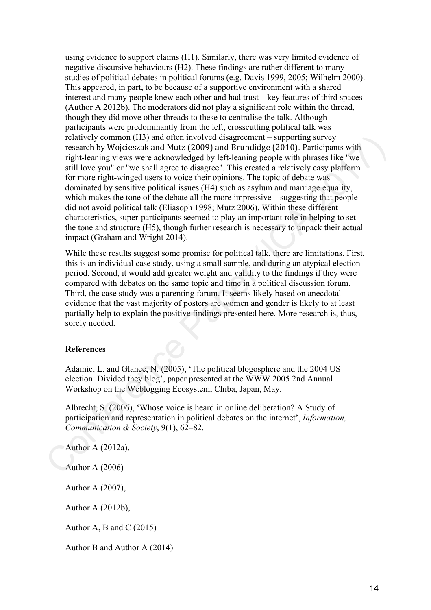using evidence to support claims (H1). Similarly, there was very limited evidence of negative discursive behaviours (H2). These findings are rather different to many studies of political debates in political forums (e.g. Davis 1999, 2005; Wilhelm 2000). This appeared, in part, to be because of a supportive environment with a shared interest and many people knew each other and had trust – key features of third spaces (Author A 2012b). The moderators did not play a significant role within the thread, though they did move other threads to these to centralise the talk. Although participants were predominantly from the left, crosscutting political talk was relatively common (H3) and often involved disagreement – supporting survey research by Wojcieszak and Mutz (2009) and Brundidge (2010). Participants with right-leaning views were acknowledged by left-leaning people with phrases like "we still love you" or "we shall agree to disagree". This created a relatively easy platform for more right-winged users to voice their opinions. The topic of debate was dominated by sensitive political issues (H4) such as asylum and marriage equality, which makes the tone of the debate all the more impressive – suggesting that people did not avoid political talk (Eliasoph 1998; Mutz 2006). Within these different characteristics, super-participants seemed to play an important role in helping to set the tone and structure (H5), though furher research is necessary to unpack their actual impact (Graham and Wright 2014). relatively common (H3) and other involved disagreement – supporting survey integration<br>research by Wojcieszak and Mutz (2009) and Brundidge (2010). Participants with<br>righ-leaning views were acknowledged by left-leaning pe

While these results suggest some promise for political talk, there are limitations. First, this is an individual case study, using a small sample, and during an atypical election period. Second, it would add greater weight and validity to the findings if they were compared with debates on the same topic and time in a political discussion forum. Third, the case study was a parenting forum. It seems likely based on anecdotal evidence that the vast majority of posters are women and gender is likely to at least partially help to explain the positive findings presented here. More research is, thus, sorely needed.

### **References**

Adamic, L. and Glance, N. (2005), 'The political blogosphere and the 2004 US election: Divided they blog', paper presented at the WWW 2005 2nd Annual Workshop on the Weblogging Ecosystem, Chiba, Japan, May.

Albrecht, S. (2006), 'Whose voice is heard in online deliberation? A Study of participation and representation in political debates on the internet', *Information, Communication & Society*, 9(1), 62–82.

Author A (2012a),

Author A (2006)

Author A (2007),

Author A (2012b),

Author A, B and C  $(2015)$ 

Author B and Author A (2014)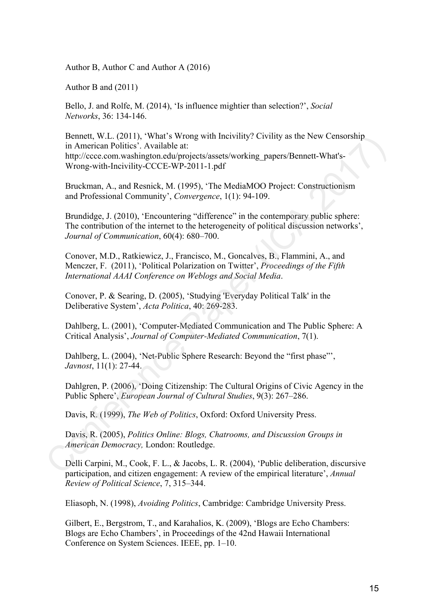Author B, Author C and Author A (2016)

Author B and (2011)

Bello, J. and Rolfe, M. (2014), 'Is influence mightier than selection?', *Social Networks*, 36: 134-146.

Bennett, W.L. (2011), 'What's Wrong with Incivility? Civility as the New Censorship in American Politics'. Available at: http://ccce.com.washington.edu/projects/assets/working\_papers/Bennett-What's-Wrong-with-Incivility-CCCE-WP-2011-1.pdf Bennett, W.J... (2011). What's Wrong with Inevidity? Civitity as the New Censorship<br>
in American Politics . Available at:<br>
http://occoc.com.washington.edu/projects/assets/working\_papers/Bennett-What's-<br>
Wrong-with-Inevidi

Bruckman, A., and Resnick, M. (1995), 'The MediaMOO Project: Constructionism and Professional Community', *Convergence*, 1(1): 94-109.

Brundidge, J. (2010), 'Encountering "difference" in the contemporary public sphere: The contribution of the internet to the heterogeneity of political discussion networks', *Journal of Communication*, 60(4): 680–700.

Conover, M.D., Ratkiewicz, J., Francisco, M., Goncalves, B., Flammini, A., and Menczer, F. (2011), 'Political Polarization on Twitter', *Proceedings of the Fifth International AAAI Conference on Weblogs and Social Media*.

Conover, P. & Searing, D. (2005), 'Studying 'Everyday Political Talk' in the Deliberative System', *Acta Politica*, 40: 269-283.

Dahlberg, L. (2001), 'Computer-Mediated Communication and The Public Sphere: A Critical Analysis', *Journal of Computer-Mediated Communication*, 7(1).

Dahlberg, L. (2004), 'Net-Public Sphere Research: Beyond the "first phase"', *Javnost*, 11(1): 27-44.

Dahlgren, P. (2006), 'Doing Citizenship: The Cultural Origins of Civic Agency in the Public Sphere', *European Journal of Cultural Studies*, 9(3): 267–286.

Davis, R. (1999), *The Web of Politics*, Oxford: Oxford University Press.

Davis, R. (2005), *Politics Online: Blogs, Chatrooms, and Discussion Groups in American Democracy,* London: Routledge.

Delli Carpini, M., Cook, F. L., & Jacobs, L. R. (2004), 'Public deliberation, discursive participation, and citizen engagement: A review of the empirical literature', *Annual Review of Political Science*, 7, 315–344.

Eliasoph, N. (1998), *Avoiding Politics*, Cambridge: Cambridge University Press.

Gilbert, E., Bergstrom, T., and Karahalios, K. (2009), 'Blogs are Echo Chambers: Blogs are Echo Chambers', in Proceedings of the 42nd Hawaii International Conference on System Sciences. IEEE, pp. 1–10.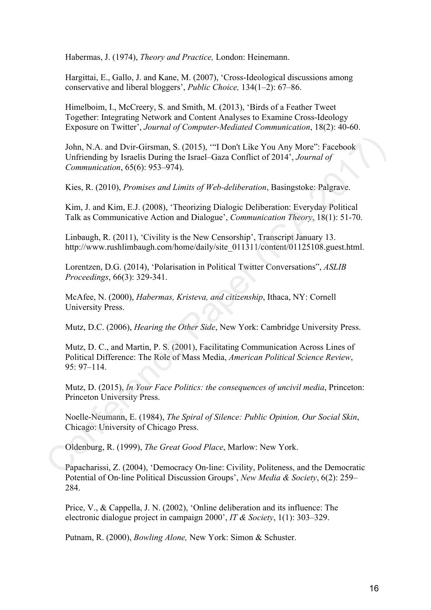Habermas, J. (1974), *Theory and Practice,* London: Heinemann.

Hargittai, E., Gallo, J. and Kane, M. (2007), 'Cross-Ideological discussions among conservative and liberal bloggers', *Public Choice,* 134(1–2): 67–86.

Himelboim, I., McCreery, S. and Smith, M. (2013), 'Birds of a Feather Tweet Together: Integrating Network and Content Analyses to Examine Cross-Ideology Exposure on Twitter', *Journal of Computer-Mediated Communication*, 18(2): 40-60.

John, N.A. and Dvir-Girsman, S. (2015), '"I Don't Like You Any More": Facebook Unfriending by Israelis During the Israel–Gaza Conflict of 2014', *Journal of Communication*, 65(6): 953–974). John, N.A. and Dvir-Girsman, S. (2015), ""I Don't Like You Any More": Facebook<br>Unfriending by Israelis During the Israel-Gaza Conflict of 2014', Journal of<br>Communication, 65(6): 953-974).<br>Kies, R. (2010), *Promises and Li* 

Kies, R. (2010), *Promises and Limits of Web-deliberation*, Basingstoke: Palgrave.

Kim, J. and Kim, E.J. (2008), 'Theorizing Dialogic Deliberation: Everyday Political Talk as Communicative Action and Dialogue', *Communication Theory*, 18(1): 51-70.

Linbaugh, R. (2011), 'Civility is the New Censorship', Transcript January 13. http://www.rushlimbaugh.com/home/daily/site\_011311/content/01125108.guest.html.

Lorentzen, D.G. (2014), 'Polarisation in Political Twitter Conversations", *ASLIB Proceedings*, 66(3): 329-341.

McAfee, N. (2000), *Habermas, Kristeva, and citizenship*, Ithaca, NY: Cornell University Press.

Mutz, D.C. (2006), *Hearing the Other Side*, New York: Cambridge University Press.

Mutz, D. C., and Martin, P. S. (2001), Facilitating Communication Across Lines of Political Difference: The Role of Mass Media, *American Political Science Review*, 95: 97–114.

Mutz, D. (2015), *In Your Face Politics: the consequences of uncivil media*, Princeton: Princeton University Press.

Noelle-Neumann, E. (1984), *The Spiral of Silence: Public Opinion, Our Social Skin*, Chicago: University of Chicago Press.

Oldenburg, R. (1999), *The Great Good Place*, Marlow: New York.

Papacharissi, Z. (2004), 'Democracy On‐line: Civility, Politeness, and the Democratic Potential of On‐line Political Discussion Groups', *New Media & Society*, 6(2): 259– 284.

Price, V., & Cappella, J. N. (2002), 'Online deliberation and its influence: The electronic dialogue project in campaign 2000', *IT & Society*, 1(1): 303–329.

Putnam, R. (2000), *Bowling Alone,* New York: Simon & Schuster.